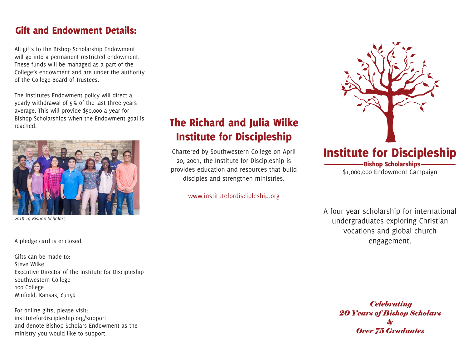## Gift and Endowment Details:

All gifts to the Bishop Scholarship Endowment will go into a permanent restricted endowment. These funds will be managed as a part of the College's endowment and are under the authority of the College Board of Trustees.

The Institutes Endowment policy will direct a yearly withdrawal of 5% of the last three years average. This will provide \$50,000 a year for Bishop Scholarships when the Endowment goal is reached.



*2018-19 Bishop Scholars* 

A pledge card is enclosed.

Gifts can be made to: Steve Wilke Executive Director of the Institute for Discipleship Southwestern College 100 College Winfield, Kansas, 67156

For online gifts, please visit: institutefordiscipleship.org/support and denote Bishop Scholars Endowment as the ministry you would like to support.

## The Richard and Julia Wilke Institute for Discipleship

Chartered by Southwestern College on April 20, 2001, the Institute for Discipleship is provides education and resources that build disciples and strengthen ministries.

www.institutefordiscipleship.org



-<br>Bishop Scholarships -\$1,000,000 Endowment Campaign

A four year scholarship for international undergraduates exploring Christian vocations and global church engagement.

> *Celebrating 20 Years of Bishop Scholars & Over 75 Graduates*